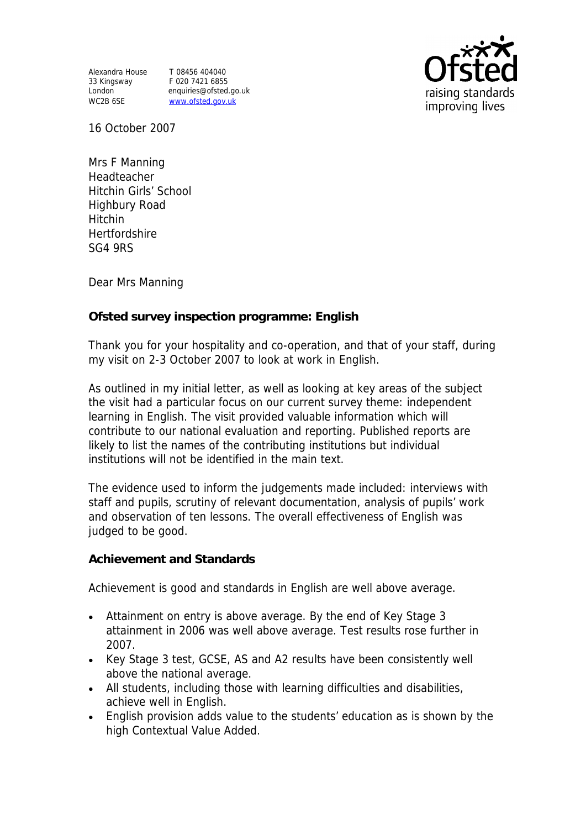Alexandra House T 08456 404040 33 Kingsway F 020 7421 6855 WC2B 6SE www.ofsted.gov.uk

London enquiries@ofsted.go.uk



16 October 2007

Mrs F Manning Headteacher Hitchin Girls' School Highbury Road Hitchin Hertfordshire SG4 9RS

Dear Mrs Manning

**Ofsted survey inspection programme: English** 

Thank you for your hospitality and co-operation, and that of your staff, during my visit on 2-3 October 2007 to look at work in English.

As outlined in my initial letter, as well as looking at key areas of the subject the visit had a particular focus on our current survey theme: independent learning in English. The visit provided valuable information which will contribute to our national evaluation and reporting. Published reports are likely to list the names of the contributing institutions but individual institutions will not be identified in the main text.

The evidence used to inform the judgements made included: interviews with staff and pupils, scrutiny of relevant documentation, analysis of pupils' work and observation of ten lessons. The overall effectiveness of English was judged to be good.

**Achievement and Standards** 

Achievement is good and standards in English are well above average.

- Attainment on entry is above average. By the end of Key Stage 3 attainment in 2006 was well above average. Test results rose further in 2007.
- Key Stage 3 test, GCSE, AS and A2 results have been consistently well above the national average.
- All students, including those with learning difficulties and disabilities, achieve well in English.
- English provision adds value to the students' education as is shown by the high Contextual Value Added.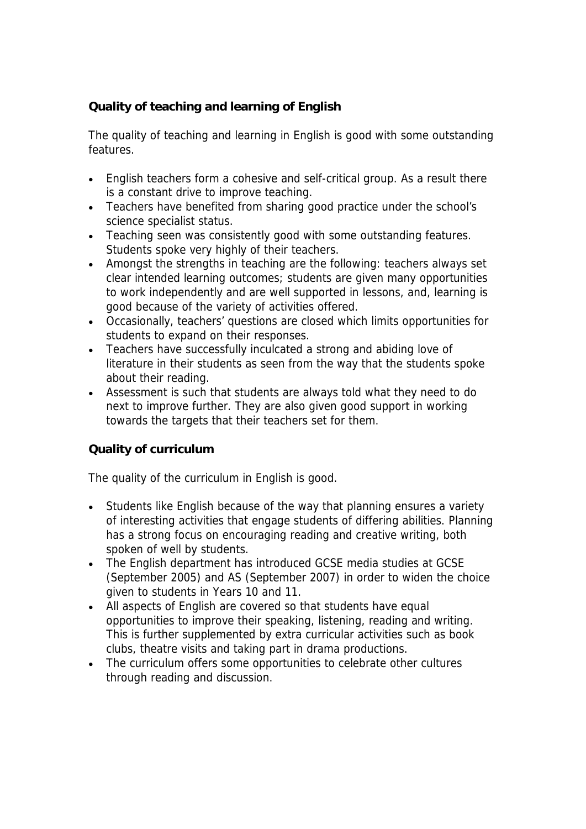## **Quality of teaching and learning of English**

The quality of teaching and learning in English is good with some outstanding features.

- English teachers form a cohesive and self-critical group. As a result there is a constant drive to improve teaching.
- Teachers have benefited from sharing good practice under the school's science specialist status.
- Teaching seen was consistently good with some outstanding features. Students spoke very highly of their teachers.
- Amongst the strengths in teaching are the following: teachers always set clear intended learning outcomes; students are given many opportunities to work independently and are well supported in lessons, and, learning is good because of the variety of activities offered.
- Occasionally, teachers' questions are closed which limits opportunities for students to expand on their responses.
- Teachers have successfully inculcated a strong and abiding love of literature in their students as seen from the way that the students spoke about their reading.
- Assessment is such that students are always told what they need to do next to improve further. They are also given good support in working towards the targets that their teachers set for them.

**Quality of curriculum** 

The quality of the curriculum in English is good.

- Students like English because of the way that planning ensures a variety of interesting activities that engage students of differing abilities. Planning has a strong focus on encouraging reading and creative writing, both spoken of well by students.
- The English department has introduced GCSE media studies at GCSE (September 2005) and AS (September 2007) in order to widen the choice given to students in Years 10 and 11.
- All aspects of English are covered so that students have equal opportunities to improve their speaking, listening, reading and writing. This is further supplemented by extra curricular activities such as book clubs, theatre visits and taking part in drama productions.
- The curriculum offers some opportunities to celebrate other cultures through reading and discussion.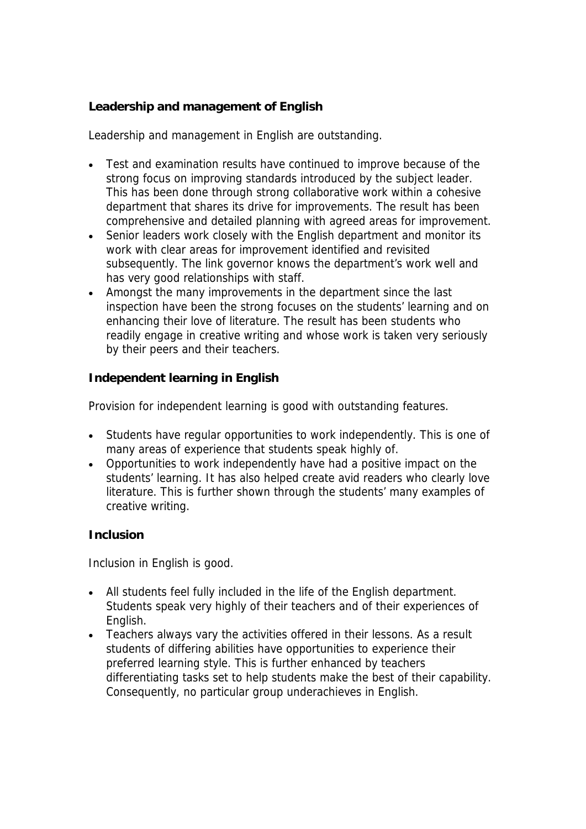**Leadership and management of English**

Leadership and management in English are outstanding.

- Test and examination results have continued to improve because of the strong focus on improving standards introduced by the subject leader. This has been done through strong collaborative work within a cohesive department that shares its drive for improvements. The result has been comprehensive and detailed planning with agreed areas for improvement.
- Senior leaders work closely with the English department and monitor its work with clear areas for improvement identified and revisited subsequently. The link governor knows the department's work well and has very good relationships with staff.
- Amongst the many improvements in the department since the last inspection have been the strong focuses on the students' learning and on enhancing their love of literature. The result has been students who readily engage in creative writing and whose work is taken very seriously by their peers and their teachers.

**Independent learning in English** 

Provision for independent learning is good with outstanding features.

- Students have regular opportunities to work independently. This is one of many areas of experience that students speak highly of.
- Opportunities to work independently have had a positive impact on the students' learning. It has also helped create avid readers who clearly love literature. This is further shown through the students' many examples of creative writing.

**Inclusion**

Inclusion in English is good.

- All students feel fully included in the life of the English department. Students speak very highly of their teachers and of their experiences of English.
- Teachers always vary the activities offered in their lessons. As a result students of differing abilities have opportunities to experience their preferred learning style. This is further enhanced by teachers differentiating tasks set to help students make the best of their capability. Consequently, no particular group underachieves in English.